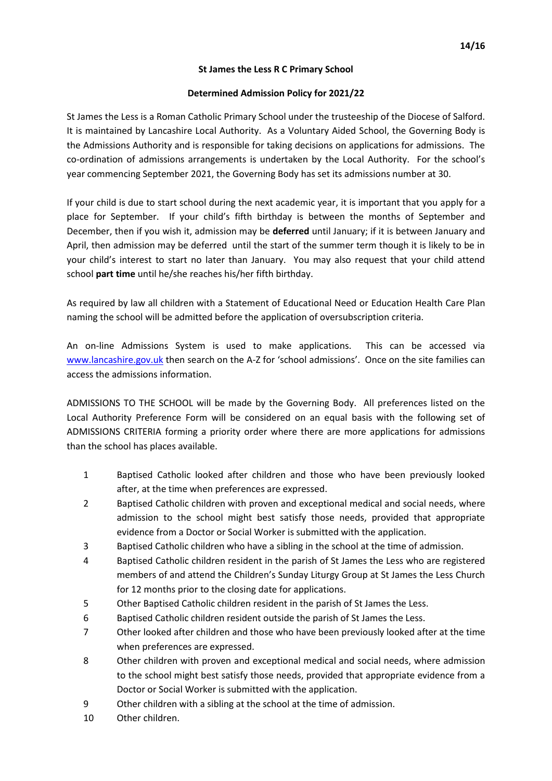### **St James the Less R C Primary School**

## **Determined Admission Policy for 2021/22**

St James the Less is a Roman Catholic Primary School under the trusteeship of the Diocese of Salford. It is maintained by Lancashire Local Authority. As a Voluntary Aided School, the Governing Body is the Admissions Authority and is responsible for taking decisions on applications for admissions. The co-ordination of admissions arrangements is undertaken by the Local Authority. For the school's year commencing September 2021, the Governing Body has set its admissions number at 30.

If your child is due to start school during the next academic year, it is important that you apply for a place for September. If your child's fifth birthday is between the months of September and December, then if you wish it, admission may be **deferred** until January; if it is between January and April, then admission may be deferred until the start of the summer term though it is likely to be in your child's interest to start no later than January. You may also request that your child attend school **part time** until he/she reaches his/her fifth birthday.

As required by law all children with a Statement of Educational Need or Education Health Care Plan naming the school will be admitted before the application of oversubscription criteria.

An on-line Admissions System is used to make applications. This can be accessed via [www.lancashire.gov.uk](http://www.lancashire.gov.uk/) then search on the A-Z for 'school admissions'. Once on the site families can access the admissions information.

ADMISSIONS TO THE SCHOOL will be made by the Governing Body. All preferences listed on the Local Authority Preference Form will be considered on an equal basis with the following set of ADMISSIONS CRITERIA forming a priority order where there are more applications for admissions than the school has places available.

- 1 Baptised Catholic looked after children and those who have been previously looked after, at the time when preferences are expressed.
- 2 Baptised Catholic children with proven and exceptional medical and social needs, where admission to the school might best satisfy those needs, provided that appropriate evidence from a Doctor or Social Worker is submitted with the application.
- 3 Baptised Catholic children who have a sibling in the school at the time of admission.
- 4 Baptised Catholic children resident in the parish of St James the Less who are registered members of and attend the Children's Sunday Liturgy Group at St James the Less Church for 12 months prior to the closing date for applications.
- 5 Other Baptised Catholic children resident in the parish of St James the Less.
- 6 Baptised Catholic children resident outside the parish of St James the Less.
- 7 Other looked after children and those who have been previously looked after at the time when preferences are expressed.
- 8 Other children with proven and exceptional medical and social needs, where admission to the school might best satisfy those needs, provided that appropriate evidence from a Doctor or Social Worker is submitted with the application.
- 9 Other children with a sibling at the school at the time of admission.
- 10 Other children.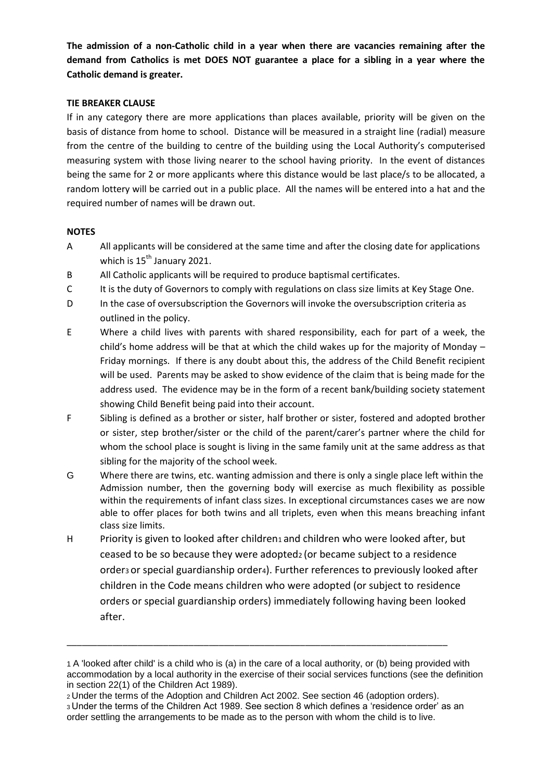**The admission of a non-Catholic child in a year when there are vacancies remaining after the demand from Catholics is met DOES NOT guarantee a place for a sibling in a year where the Catholic demand is greater.**

## **TIE BREAKER CLAUSE**

If in any category there are more applications than places available, priority will be given on the basis of distance from home to school. Distance will be measured in a straight line (radial) measure from the centre of the building to centre of the building using the Local Authority's computerised measuring system with those living nearer to the school having priority. In the event of distances being the same for 2 or more applicants where this distance would be last place/s to be allocated, a random lottery will be carried out in a public place. All the names will be entered into a hat and the required number of names will be drawn out.

## **NOTES**

- A All applicants will be considered at the same time and after the closing date for applications which is 15<sup>th</sup> January 2021.
- B All Catholic applicants will be required to produce baptismal certificates.
- C It is the duty of Governors to comply with regulations on class size limits at Key Stage One.
- D In the case of oversubscription the Governors will invoke the oversubscription criteria as outlined in the policy.
- E Where a child lives with parents with shared responsibility, each for part of a week, the child's home address will be that at which the child wakes up for the majority of Monday – Friday mornings. If there is any doubt about this, the address of the Child Benefit recipient will be used. Parents may be asked to show evidence of the claim that is being made for the address used. The evidence may be in the form of a recent bank/building society statement showing Child Benefit being paid into their account.
- F Sibling is defined as a brother or sister, half brother or sister, fostered and adopted brother or sister, step brother/sister or the child of the parent/carer's partner where the child for whom the school place is sought is living in the same family unit at the same address as that sibling for the majority of the school week.
- G Where there are twins, etc. wanting admission and there is only a single place left within the Admission number, then the governing body will exercise as much flexibility as possible within the requirements of infant class sizes. In exceptional circumstances cases we are now able to offer places for both twins and all triplets, even when this means breaching infant class size limits.
- H Priority is given to looked after children<sub>1</sub> and children who were looked after, but ceased to be so because they were adopted2 (or became subject to a residence order<sub>3</sub> or special guardianship order<sub>4</sub>). Further references to previously looked after children in the Code means children who were adopted (or subject to residence orders or special guardianship orders) immediately following having been looked after.

\_\_\_\_\_\_\_\_\_\_\_\_\_\_\_\_\_\_\_\_\_\_\_\_\_\_\_\_\_\_\_\_\_\_\_\_\_\_\_\_\_\_\_\_\_\_\_\_\_\_\_\_\_\_\_\_\_\_\_\_\_\_\_\_\_\_\_\_\_\_\_\_\_\_\_

<sup>1</sup> A 'looked after child' is a child who is (a) in the care of a local authority, or (b) being provided with accommodation by a local authority in the exercise of their social services functions (see the definition in section 22(1) of the Children Act 1989).

<sup>2</sup>Under the terms of the Adoption and Children Act 2002. See section 46 (adoption orders). <sup>3</sup>Under the terms of the Children Act 1989. See section 8 which defines a 'residence order' as an order settling the arrangements to be made as to the person with whom the child is to live.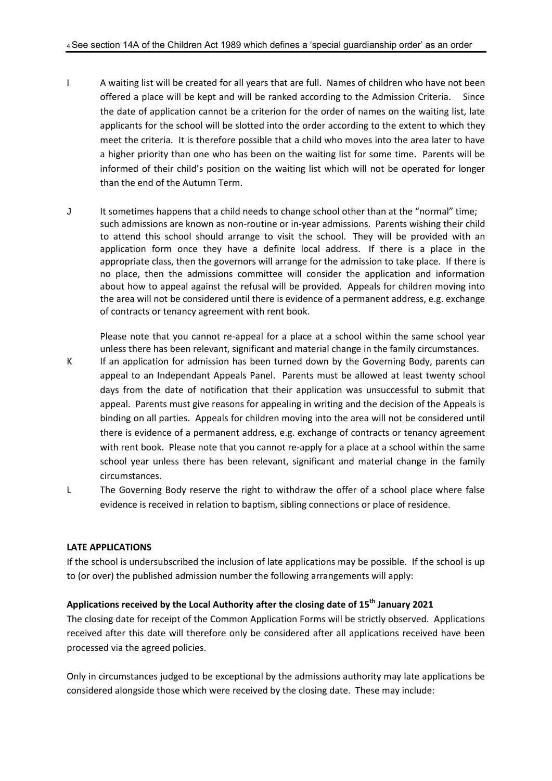- I A waiting list will be created for all years that are full. Names of children who have not been offered a place will be kept and will be ranked according to the Admission Criteria. Since the date of application cannot be a criterion for the order of names on the waiting list, late applicants for the school will be slotted into the order according to the extent to which they meet the criteria. It is therefore possible that a child who moves into the area later to have a higher priority than one who has been on the waiting list for some time. Parents will be informed of their child's position on the waiting list which will not be operated for longer than the end of the Autumn Term.
- J It sometimes happens that a child needs to change school other than at the "normal" time; such admissions are known as non-routine or in-year admissions. Parents wishing their child to attend this school should arrange to visit the school. They will be provided with an application form once they have a definite local address. If there is a place in the appropriate class, then the governors will arrange for the admission to take place. If there is no place, then the admissions committee will consider the application and information about how to appeal against the refusal will be provided. Appeals for children moving into the area will not be considered until there is evidence of a permanent address, e.g. exchange of contracts or tenancy agreement with rent book.

Please note that you cannot re-appeal for a place at a school within the same school year unless there has been relevant, significant and material change in the family circumstances.

- K If an application for admission has been turned down by the Governing Body, parents can appeal to an Independant Appeals Panel. Parents must be allowed at least twenty school days from the date of notification that their application was unsuccessful to submit that appeal. Parents must give reasons for appealing in writing and the decision of the Appeals is binding on all parties. Appeals for children moving into the area will not be considered until there is evidence of a permanent address, e.g. exchange of contracts or tenancy agreement with rent book. Please note that you cannot re-apply for a place at a school within the same school year unless there has been relevant, significant and material change in the family circumstances.
- L The Governing Body reserve the right to withdraw the offer of a school place where false evidence is received in relation to baptism, sibling connections or place of residence.

#### **LATE APPLICATIONS**

If the school is undersubscribed the inclusion of late applications may be possible. If the school is up to (or over) the published admission number the following arrangements will apply:

## **Applications received by the Local Authority after the closing date of 15 th January 2021**

The closing date for receipt of the Common Application Forms will be strictly observed. Applications received after this date will therefore only be considered after all applications received have been processed via the agreed policies.

Only in circumstances judged to be exceptional by the admissions authority may late applications be considered alongside those which were received by the closing date. These may include: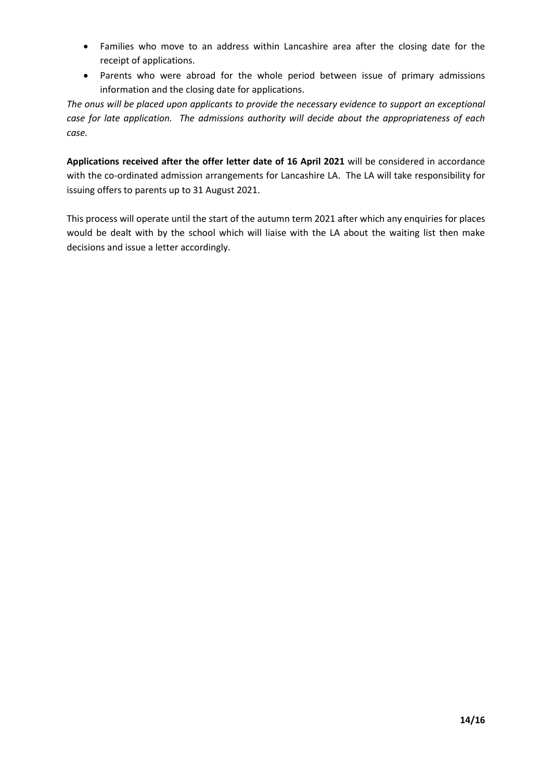- Families who move to an address within Lancashire area after the closing date for the receipt of applications.
- Parents who were abroad for the whole period between issue of primary admissions information and the closing date for applications.

*The onus will be placed upon applicants to provide the necessary evidence to support an exceptional case for late application. The admissions authority will decide about the appropriateness of each case.*

**Applications received after the offer letter date of 16 April 2021** will be considered in accordance with the co-ordinated admission arrangements for Lancashire LA. The LA will take responsibility for issuing offers to parents up to 31 August 2021.

This process will operate until the start of the autumn term 2021 after which any enquiries for places would be dealt with by the school which will liaise with the LA about the waiting list then make decisions and issue a letter accordingly.